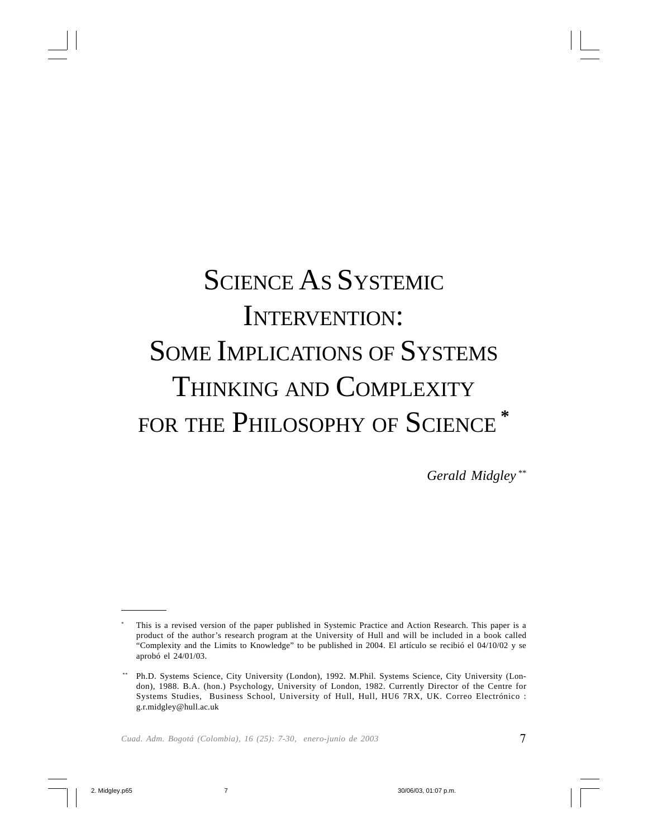# SCIENCE AS SYSTEMIC INTERVENTION: SOME IMPLICATIONS OF SYSTEMS THINKING AND COMPLEXITY FOR THE PHILOSOPHY OF SCIENCE **\***

*Gerald Midgley \*\**

This is a revised version of the paper published in Systemic Practice and Action Research. This paper is a product of the author's research program at the University of Hull and will be included in a book called "Complexity and the Limits to Knowledge" to be published in 2004. El artículo se recibió el 04/10/02 y se aprobó el 24/01/03.

Ph.D. Systems Science, City University (London), 1992. M.Phil. Systems Science, City University (London), 1988. B.A. (hon.) Psychology, University of London, 1982. Currently Director of the Centre for Systems Studies, Business School, University of Hull, Hull, HU6 7RX, UK. Correo Electrónico : g.r.midgley@hull.ac.uk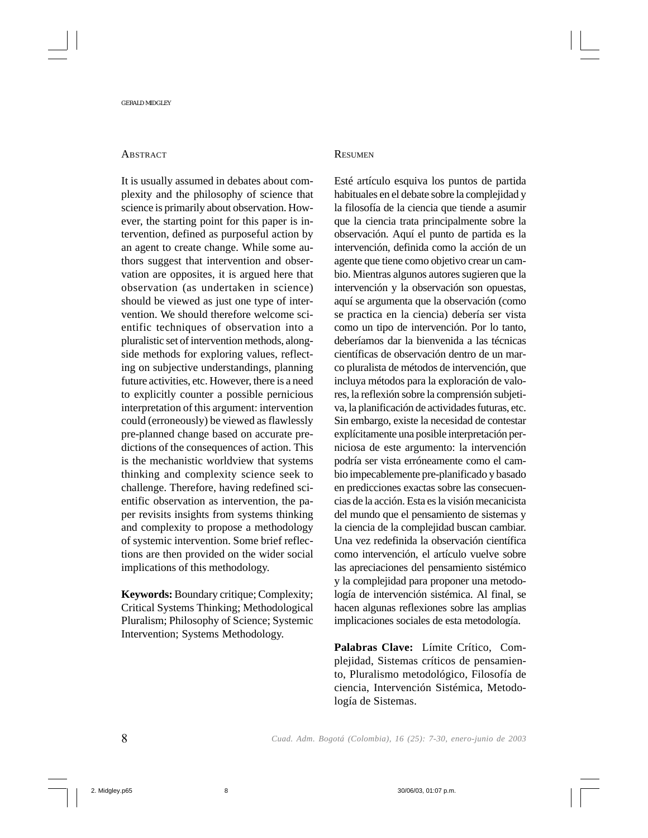### **ABSTRACT**

It is usually assumed in debates about complexity and the philosophy of science that science is primarily about observation. However, the starting point for this paper is intervention, defined as purposeful action by an agent to create change. While some authors suggest that intervention and observation are opposites, it is argued here that observation (as undertaken in science) should be viewed as just one type of intervention. We should therefore welcome scientific techniques of observation into a pluralistic set of intervention methods, alongside methods for exploring values, reflecting on subjective understandings, planning future activities, etc. However, there is a need to explicitly counter a possible pernicious interpretation of this argument: intervention could (erroneously) be viewed as flawlessly pre-planned change based on accurate predictions of the consequences of action. This is the mechanistic worldview that systems thinking and complexity science seek to challenge. Therefore, having redefined scientific observation as intervention, the paper revisits insights from systems thinking and complexity to propose a methodology of systemic intervention. Some brief reflections are then provided on the wider social implications of this methodology.

**Keywords:** Boundary critique; Complexity; Critical Systems Thinking; Methodological Pluralism; Philosophy of Science; Systemic Intervention; Systems Methodology.

### **RESUMEN**

Esté artículo esquiva los puntos de partida habituales en el debate sobre la complejidad y la filosofía de la ciencia que tiende a asumir que la ciencia trata principalmente sobre la observación. Aquí el punto de partida es la intervención, definida como la acción de un agente que tiene como objetivo crear un cambio. Mientras algunos autores sugieren que la intervención y la observación son opuestas, aquí se argumenta que la observación (como se practica en la ciencia) debería ser vista como un tipo de intervención. Por lo tanto, deberíamos dar la bienvenida a las técnicas científicas de observación dentro de un marco pluralista de métodos de intervención, que incluya métodos para la exploración de valores, la reflexión sobre la comprensión subjetiva, la planificación de actividades futuras, etc. Sin embargo, existe la necesidad de contestar explícitamente una posible interpretación perniciosa de este argumento: la intervención podría ser vista erróneamente como el cambio impecablemente pre-planificado y basado en predicciones exactas sobre las consecuencias de la acción. Esta es la visión mecanicista del mundo que el pensamiento de sistemas y la ciencia de la complejidad buscan cambiar. Una vez redefinida la observación científica como intervención, el artículo vuelve sobre las apreciaciones del pensamiento sistémico y la complejidad para proponer una metodología de intervención sistémica. Al final, se hacen algunas reflexiones sobre las amplias implicaciones sociales de esta metodología.

**Palabras Clave:** Límite Crítico, Complejidad, Sistemas críticos de pensamiento, Pluralismo metodológico, Filosofía de ciencia, Intervención Sistémica, Metodología de Sistemas.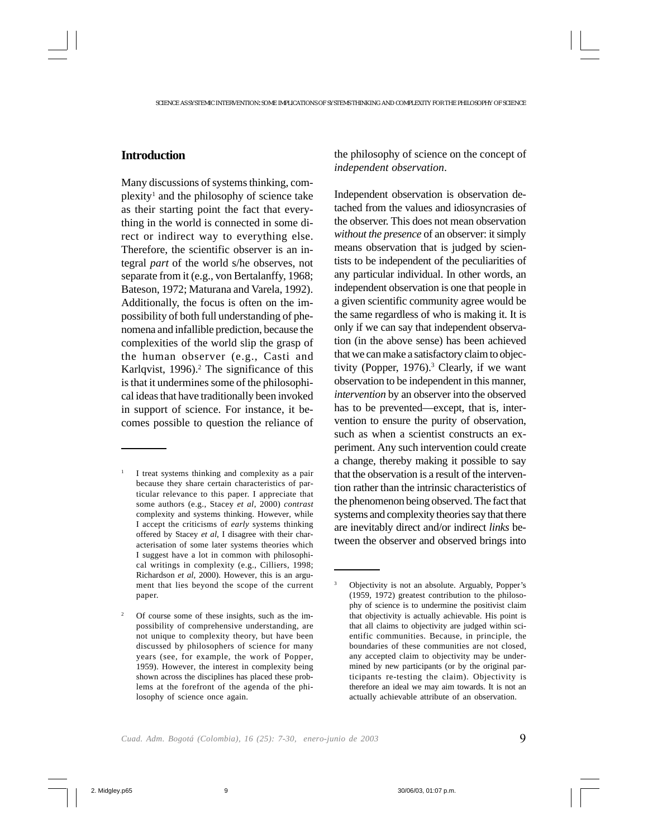# **Introduction**

Many discussions of systems thinking, complexity<sup>1</sup> and the philosophy of science take as their starting point the fact that everything in the world is connected in some direct or indirect way to everything else. Therefore, the scientific observer is an integral *part* of the world s/he observes, not separate from it (e.g., von Bertalanffy, 1968; Bateson, 1972; Maturana and Varela, 1992). Additionally, the focus is often on the impossibility of both full understanding of phenomena and infallible prediction, because the complexities of the world slip the grasp of the human observer (e.g., Casti and Karlqvist, 1996).<sup>2</sup> The significance of this is that it undermines some of the philosophical ideas that have traditionally been invoked in support of science. For instance, it becomes possible to question the reliance of the philosophy of science on the concept of *independent observation*.

Independent observation is observation detached from the values and idiosyncrasies of the observer. This does not mean observation *without the presence* of an observer: it simply means observation that is judged by scientists to be independent of the peculiarities of any particular individual. In other words, an independent observation is one that people in a given scientific community agree would be the same regardless of who is making it. It is only if we can say that independent observation (in the above sense) has been achieved that we can make a satisfactory claim to objectivity (Popper, 1976).<sup>3</sup> Clearly, if we want observation to be independent in this manner, *intervention* by an observer into the observed has to be prevented—except, that is, intervention to ensure the purity of observation, such as when a scientist constructs an experiment. Any such intervention could create a change, thereby making it possible to say that the observation is a result of the intervention rather than the intrinsic characteristics of the phenomenon being observed. The fact that systems and complexity theories say that there are inevitably direct and/or indirect *links* between the observer and observed brings into

<sup>1</sup> I treat systems thinking and complexity as a pair because they share certain characteristics of particular relevance to this paper. I appreciate that some authors (e.g., Stacey *et al*, 2000) *contrast* complexity and systems thinking. However, while I accept the criticisms of *early* systems thinking offered by Stacey *et al*, I disagree with their characterisation of some later systems theories which I suggest have a lot in common with philosophical writings in complexity (e.g., Cilliers, 1998; Richardson *et al*, 2000). However, this is an argument that lies beyond the scope of the current paper.

Of course some of these insights, such as the impossibility of comprehensive understanding, are not unique to complexity theory, but have been discussed by philosophers of science for many years (see, for example, the work of Popper, 1959). However, the interest in complexity being shown across the disciplines has placed these problems at the forefront of the agenda of the philosophy of science once again.

<sup>3</sup> Objectivity is not an absolute. Arguably, Popper's (1959, 1972) greatest contribution to the philosophy of science is to undermine the positivist claim that objectivity is actually achievable. His point is that all claims to objectivity are judged within scientific communities. Because, in principle, the boundaries of these communities are not closed, any accepted claim to objectivity may be undermined by new participants (or by the original participants re-testing the claim). Objectivity is therefore an ideal we may aim towards. It is not an actually achievable attribute of an observation.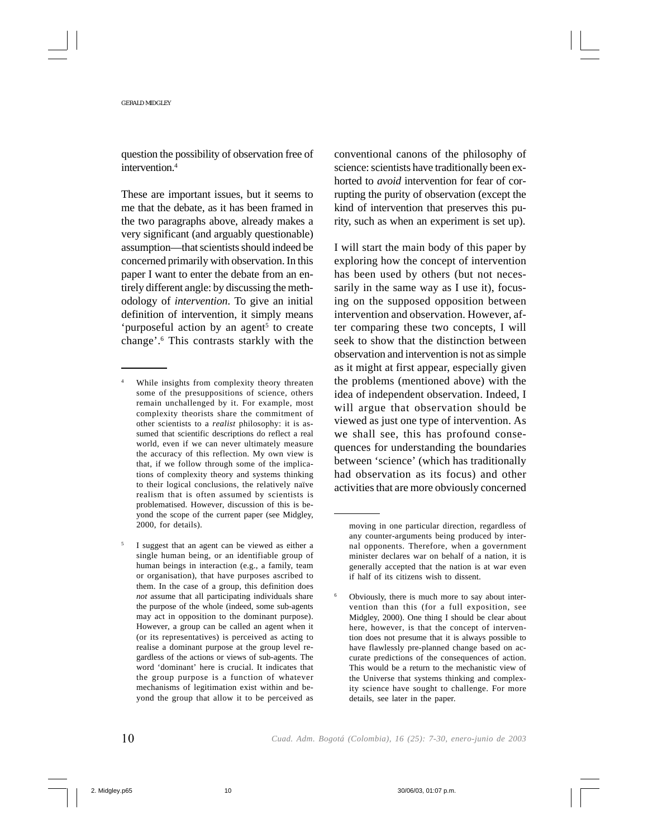question the possibility of observation free of intervention.4

These are important issues, but it seems to me that the debate, as it has been framed in the two paragraphs above, already makes a very significant (and arguably questionable) assumption—that scientists should indeed be concerned primarily with observation. In this paper I want to enter the debate from an entirely different angle: by discussing the methodology of *intervention*. To give an initial definition of intervention, it simply means 'purposeful action by an agent<sup>5</sup> to create change'.6 This contrasts starkly with the

conventional canons of the philosophy of science: scientists have traditionally been exhorted to *avoid* intervention for fear of corrupting the purity of observation (except the kind of intervention that preserves this purity, such as when an experiment is set up).

I will start the main body of this paper by exploring how the concept of intervention has been used by others (but not necessarily in the same way as I use it), focusing on the supposed opposition between intervention and observation. However, after comparing these two concepts, I will seek to show that the distinction between observation and intervention is not as simple as it might at first appear, especially given the problems (mentioned above) with the idea of independent observation. Indeed, I will argue that observation should be viewed as just one type of intervention. As we shall see, this has profound consequences for understanding the boundaries between 'science' (which has traditionally had observation as its focus) and other activities that are more obviously concerned

While insights from complexity theory threaten some of the presuppositions of science, others remain unchallenged by it. For example, most complexity theorists share the commitment of other scientists to a *realist* philosophy: it is assumed that scientific descriptions do reflect a real world, even if we can never ultimately measure the accuracy of this reflection. My own view is that, if we follow through some of the implications of complexity theory and systems thinking to their logical conclusions, the relatively naïve realism that is often assumed by scientists is problematised. However, discussion of this is beyond the scope of the current paper (see Midgley, 2000, for details).

<sup>5</sup> I suggest that an agent can be viewed as either a single human being, or an identifiable group of human beings in interaction (e.g., a family, team or organisation), that have purposes ascribed to them. In the case of a group, this definition does *not* assume that all participating individuals share the purpose of the whole (indeed, some sub-agents may act in opposition to the dominant purpose). However, a group can be called an agent when it (or its representatives) is perceived as acting to realise a dominant purpose at the group level regardless of the actions or views of sub-agents. The word 'dominant' here is crucial. It indicates that the group purpose is a function of whatever mechanisms of legitimation exist within and beyond the group that allow it to be perceived as

moving in one particular direction, regardless of any counter-arguments being produced by internal opponents. Therefore, when a government minister declares war on behalf of a nation, it is generally accepted that the nation is at war even if half of its citizens wish to dissent.

<sup>6</sup> Obviously, there is much more to say about intervention than this (for a full exposition, see Midgley, 2000). One thing I should be clear about here, however, is that the concept of intervention does not presume that it is always possible to have flawlessly pre-planned change based on accurate predictions of the consequences of action. This would be a return to the mechanistic view of the Universe that systems thinking and complexity science have sought to challenge. For more details, see later in the paper.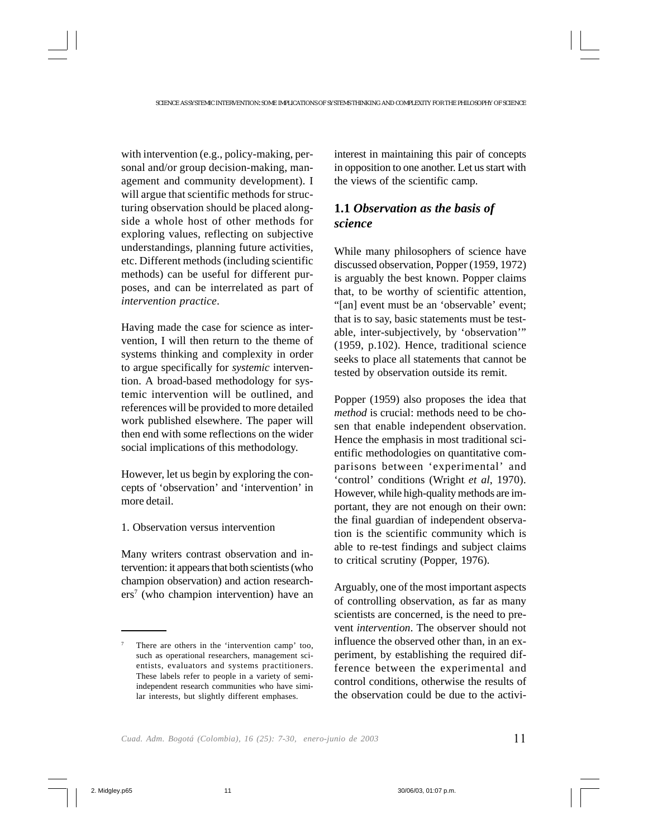with intervention (e.g., policy-making, personal and/or group decision-making, management and community development). I will argue that scientific methods for structuring observation should be placed alongside a whole host of other methods for exploring values, reflecting on subjective understandings, planning future activities, etc. Different methods (including scientific methods) can be useful for different purposes, and can be interrelated as part of *intervention practice*.

Having made the case for science as intervention, I will then return to the theme of systems thinking and complexity in order to argue specifically for *systemic* intervention. A broad-based methodology for systemic intervention will be outlined, and references will be provided to more detailed work published elsewhere. The paper will then end with some reflections on the wider social implications of this methodology.

However, let us begin by exploring the concepts of 'observation' and 'intervention' in more detail.

1. Observation versus intervention

Many writers contrast observation and intervention: it appears that both scientists (who champion observation) and action researchers7 (who champion intervention) have an

interest in maintaining this pair of concepts in opposition to one another. Let us start with the views of the scientific camp.

# **1.1** *Observation as the basis of science*

While many philosophers of science have discussed observation, Popper (1959, 1972) is arguably the best known. Popper claims that, to be worthy of scientific attention, "[an] event must be an 'observable' event; that is to say, basic statements must be testable, inter-subjectively, by 'observation'" (1959, p.102). Hence, traditional science seeks to place all statements that cannot be tested by observation outside its remit.

Popper (1959) also proposes the idea that *method* is crucial: methods need to be chosen that enable independent observation. Hence the emphasis in most traditional scientific methodologies on quantitative comparisons between 'experimental' and 'control' conditions (Wright *et al*, 1970). However, while high-quality methods are important, they are not enough on their own: the final guardian of independent observation is the scientific community which is able to re-test findings and subject claims to critical scrutiny (Popper, 1976).

Arguably, one of the most important aspects of controlling observation, as far as many scientists are concerned, is the need to prevent *intervention*. The observer should not influence the observed other than, in an experiment, by establishing the required difference between the experimental and control conditions, otherwise the results of the observation could be due to the activi-

There are others in the 'intervention camp' too, such as operational researchers, management scientists, evaluators and systems practitioners. These labels refer to people in a variety of semiindependent research communities who have similar interests, but slightly different emphases.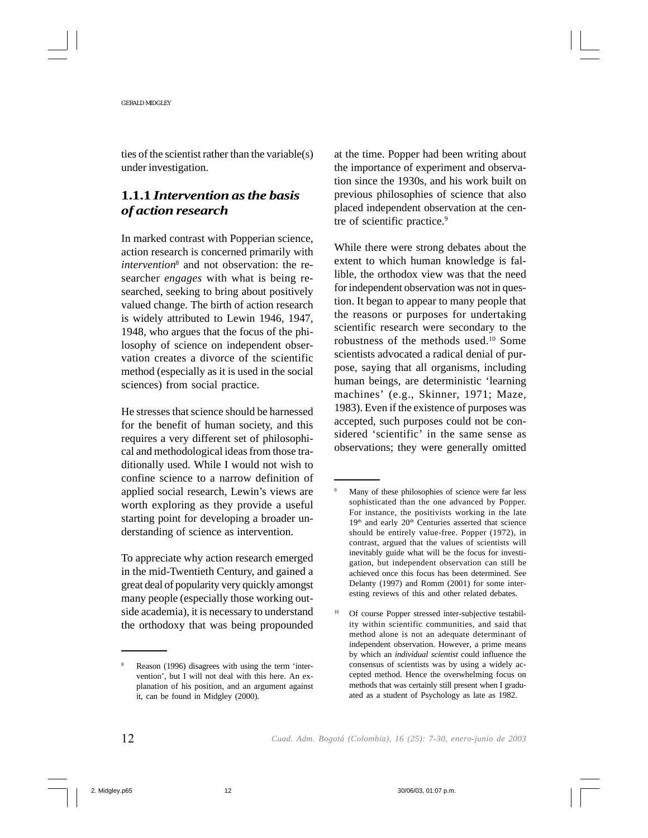ties of the scientist rather than the variable(s) under investigation.

# **1.1.1** *Intervention as the basis of action research*

In marked contrast with Popperian science, action research is concerned primarily with *intervention*<sup>8</sup> and not observation: the researcher *engages* with what is being researched, seeking to bring about positively valued change. The birth of action research is widely attributed to Lewin 1946, 1947, 1948, who argues that the focus of the philosophy of science on independent observation creates a divorce of the scientific method (especially as it is used in the social sciences) from social practice.

He stresses that science should be harnessed for the benefit of human society, and this requires a very different set of philosophical and methodological ideas from those traditionally used. While I would not wish to confine science to a narrow definition of applied social research, Lewin's views are worth exploring as they provide a useful starting point for developing a broader understanding of science as intervention.

To appreciate why action research emerged in the mid-Twentieth Century, and gained a great deal of popularity very quickly amongst many people (especially those working outside academia), it is necessary to understand the orthodoxy that was being propounded at the time. Popper had been writing about the importance of experiment and observation since the 1930s, and his work built on previous philosophies of science that also placed independent observation at the centre of scientific practice.<sup>9</sup>

While there were strong debates about the extent to which human knowledge is fallible, the orthodox view was that the need for independent observation was not in question. It began to appear to many people that the reasons or purposes for undertaking scientific research were secondary to the robustness of the methods used.10 Some scientists advocated a radical denial of purpose, saying that all organisms, including human beings, are deterministic 'learning machines' (e.g., Skinner, 1971; Maze, 1983). Even if the existence of purposes was accepted, such purposes could not be considered 'scientific' in the same sense as observations; they were generally omitted

Reason (1996) disagrees with using the term 'intervention', but I will not deal with this here. An explanation of his position, and an argument against it, can be found in Midgley (2000).

Many of these philosophies of science were far less sophisticated than the one advanced by Popper. For instance, the positivists working in the late 19<sup>th</sup> and early 20<sup>th</sup> Centuries asserted that science should be entirely value-free. Popper (1972), in contrast, argued that the values of scientists will inevitably guide what will be the focus for investigation, but independent observation can still be achieved once this focus has been determined. See Delanty (1997) and Romm (2001) for some interesting reviews of this and other related debates.

<sup>&</sup>lt;sup>10</sup> Of course Popper stressed inter-subjective testability within scientific communities, and said that method alone is not an adequate determinant of independent observation. However, a prime means by which an *individual scientist* could influence the consensus of scientists was by using a widely accepted method. Hence the overwhelming focus on methods that was certainly still present when I graduated as a student of Psychology as late as 1982.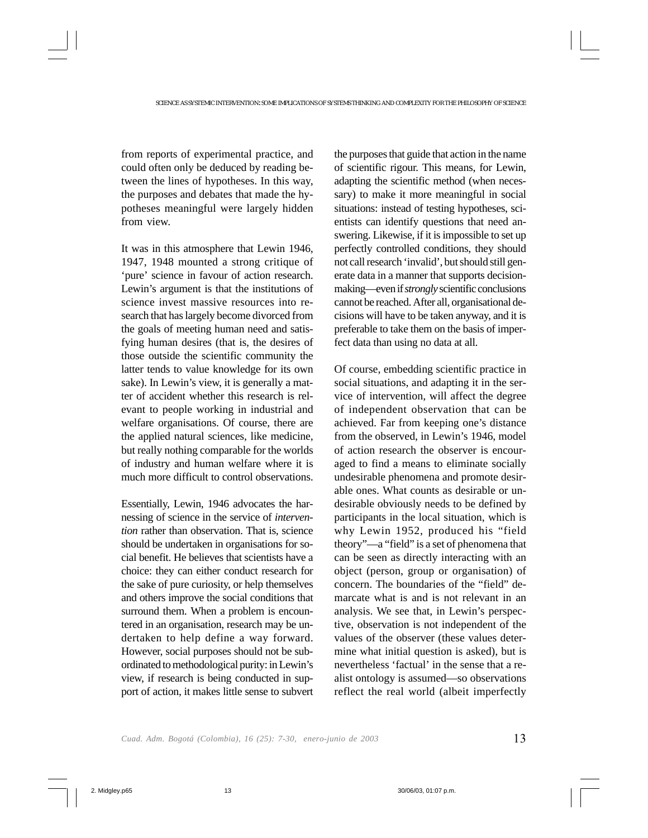from reports of experimental practice, and could often only be deduced by reading between the lines of hypotheses. In this way, the purposes and debates that made the hypotheses meaningful were largely hidden from view.

It was in this atmosphere that Lewin 1946, 1947, 1948 mounted a strong critique of 'pure' science in favour of action research. Lewin's argument is that the institutions of science invest massive resources into research that has largely become divorced from the goals of meeting human need and satisfying human desires (that is, the desires of those outside the scientific community the latter tends to value knowledge for its own sake). In Lewin's view, it is generally a matter of accident whether this research is relevant to people working in industrial and welfare organisations. Of course, there are the applied natural sciences, like medicine, but really nothing comparable for the worlds of industry and human welfare where it is much more difficult to control observations.

Essentially, Lewin, 1946 advocates the harnessing of science in the service of *intervention* rather than observation. That is, science should be undertaken in organisations for social benefit. He believes that scientists have a choice: they can either conduct research for the sake of pure curiosity, or help themselves and others improve the social conditions that surround them. When a problem is encountered in an organisation, research may be undertaken to help define a way forward. However, social purposes should not be subordinated to methodological purity: in Lewin's view, if research is being conducted in support of action, it makes little sense to subvert the purposes that guide that action in the name of scientific rigour. This means, for Lewin, adapting the scientific method (when necessary) to make it more meaningful in social situations: instead of testing hypotheses, scientists can identify questions that need answering. Likewise, if it is impossible to set up perfectly controlled conditions, they should not call research 'invalid', but should still generate data in a manner that supports decisionmaking—even if *strongly* scientific conclusions cannot be reached. After all, organisational decisions will have to be taken anyway, and it is preferable to take them on the basis of imperfect data than using no data at all.

Of course, embedding scientific practice in social situations, and adapting it in the service of intervention, will affect the degree of independent observation that can be achieved. Far from keeping one's distance from the observed, in Lewin's 1946, model of action research the observer is encouraged to find a means to eliminate socially undesirable phenomena and promote desirable ones. What counts as desirable or undesirable obviously needs to be defined by participants in the local situation, which is why Lewin 1952, produced his "field theory"—a "field" is a set of phenomena that can be seen as directly interacting with an object (person, group or organisation) of concern. The boundaries of the "field" demarcate what is and is not relevant in an analysis. We see that, in Lewin's perspective, observation is not independent of the values of the observer (these values determine what initial question is asked), but is nevertheless 'factual' in the sense that a realist ontology is assumed—so observations reflect the real world (albeit imperfectly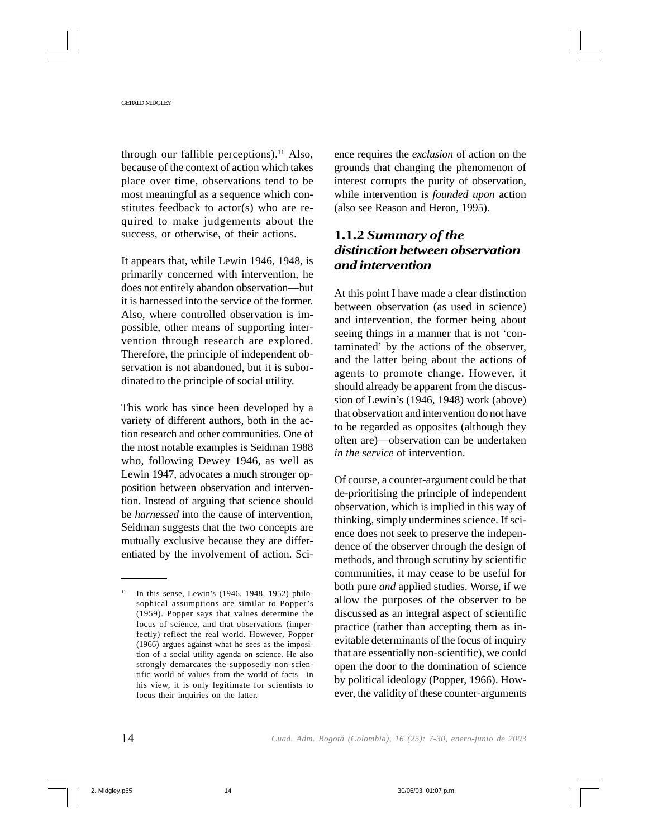through our fallible perceptions).<sup>11</sup> Also, because of the context of action which takes place over time, observations tend to be most meaningful as a sequence which constitutes feedback to actor(s) who are required to make judgements about the success, or otherwise, of their actions.

It appears that, while Lewin 1946, 1948, is primarily concerned with intervention, he does not entirely abandon observation—but it is harnessed into the service of the former. Also, where controlled observation is impossible, other means of supporting intervention through research are explored. Therefore, the principle of independent observation is not abandoned, but it is subordinated to the principle of social utility.

This work has since been developed by a variety of different authors, both in the action research and other communities. One of the most notable examples is Seidman 1988 who, following Dewey 1946, as well as Lewin 1947, advocates a much stronger opposition between observation and intervention. Instead of arguing that science should be *harnessed* into the cause of intervention, Seidman suggests that the two concepts are mutually exclusive because they are differentiated by the involvement of action. Science requires the *exclusion* of action on the grounds that changing the phenomenon of interest corrupts the purity of observation, while intervention is *founded upon* action (also see Reason and Heron, 1995).

# **1.1.2** *Summary of the distinction between observation and intervention*

At this point I have made a clear distinction between observation (as used in science) and intervention, the former being about seeing things in a manner that is not 'contaminated' by the actions of the observer, and the latter being about the actions of agents to promote change. However, it should already be apparent from the discussion of Lewin's (1946, 1948) work (above) that observation and intervention do not have to be regarded as opposites (although they often are)—observation can be undertaken *in the service* of intervention.

Of course, a counter-argument could be that de-prioritising the principle of independent observation, which is implied in this way of thinking, simply undermines science. If science does not seek to preserve the independence of the observer through the design of methods, and through scrutiny by scientific communities, it may cease to be useful for both pure *and* applied studies. Worse, if we allow the purposes of the observer to be discussed as an integral aspect of scientific practice (rather than accepting them as inevitable determinants of the focus of inquiry that are essentially non-scientific), we could open the door to the domination of science by political ideology (Popper, 1966). However, the validity of these counter-arguments

 $11$  In this sense, Lewin's (1946, 1948, 1952) philosophical assumptions are similar to Popper's (1959). Popper says that values determine the focus of science, and that observations (imperfectly) reflect the real world. However, Popper (1966) argues against what he sees as the imposition of a social utility agenda on science. He also strongly demarcates the supposedly non-scientific world of values from the world of facts—in his view, it is only legitimate for scientists to focus their inquiries on the latter.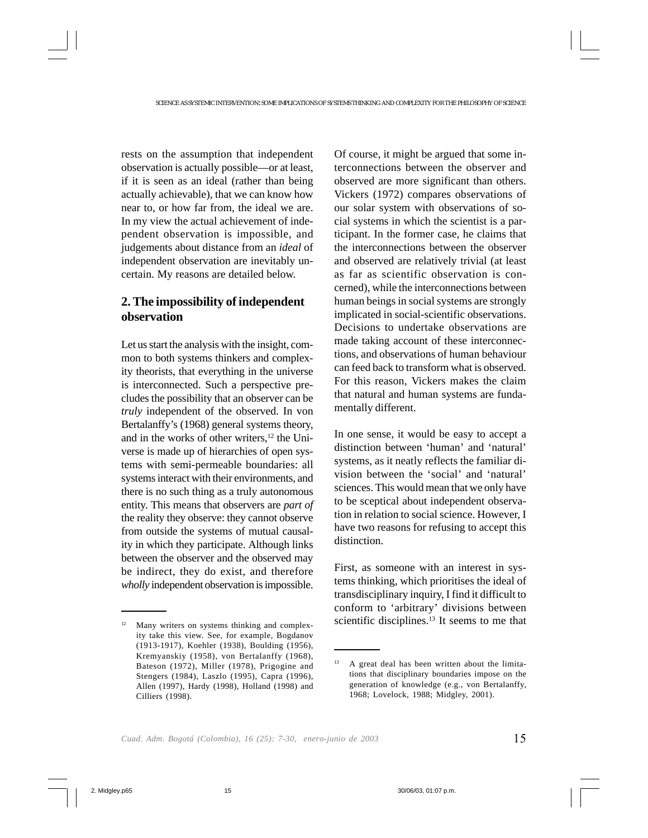rests on the assumption that independent observation is actually possible—or at least, if it is seen as an ideal (rather than being actually achievable), that we can know how near to, or how far from, the ideal we are. In my view the actual achievement of independent observation is impossible, and judgements about distance from an *ideal* of independent observation are inevitably uncertain. My reasons are detailed below.

# **2. The impossibility of independent observation**

Let us start the analysis with the insight, common to both systems thinkers and complexity theorists, that everything in the universe is interconnected. Such a perspective precludes the possibility that an observer can be *truly* independent of the observed. In von Bertalanffy's (1968) general systems theory, and in the works of other writers,<sup>12</sup> the Universe is made up of hierarchies of open systems with semi-permeable boundaries: all systems interact with their environments, and there is no such thing as a truly autonomous entity. This means that observers are *part of* the reality they observe: they cannot observe from outside the systems of mutual causality in which they participate. Although links between the observer and the observed may be indirect, they do exist, and therefore *wholly* independent observation is impossible. Of course, it might be argued that some interconnections between the observer and observed are more significant than others. Vickers (1972) compares observations of our solar system with observations of social systems in which the scientist is a participant. In the former case, he claims that the interconnections between the observer and observed are relatively trivial (at least as far as scientific observation is concerned), while the interconnections between human beings in social systems are strongly implicated in social-scientific observations. Decisions to undertake observations are made taking account of these interconnections, and observations of human behaviour can feed back to transform what is observed. For this reason, Vickers makes the claim that natural and human systems are fundamentally different.

In one sense, it would be easy to accept a distinction between 'human' and 'natural' systems, as it neatly reflects the familiar division between the 'social' and 'natural' sciences. This would mean that we only have to be sceptical about independent observation in relation to social science. However, I have two reasons for refusing to accept this distinction.

First, as someone with an interest in systems thinking, which prioritises the ideal of transdisciplinary inquiry, I find it difficult to conform to 'arbitrary' divisions between Many writers on systems thinking and complex-<br>scientific disciplines.<sup>13</sup> It seems to me that

ity take this view. See, for example, Bogdanov (1913-1917), Koehler (1938), Boulding (1956), Kremyanskiy (1958), von Bertalanffy (1968), Bateson (1972), Miller (1978), Prigogine and Stengers (1984), Laszlo (1995), Capra (1996), Allen (1997), Hardy (1998), Holland (1998) and Cilliers (1998).

<sup>&</sup>lt;sup>13</sup> A great deal has been written about the limitations that disciplinary boundaries impose on the generation of knowledge (e.g., von Bertalanffy, 1968; Lovelock, 1988; Midgley, 2001).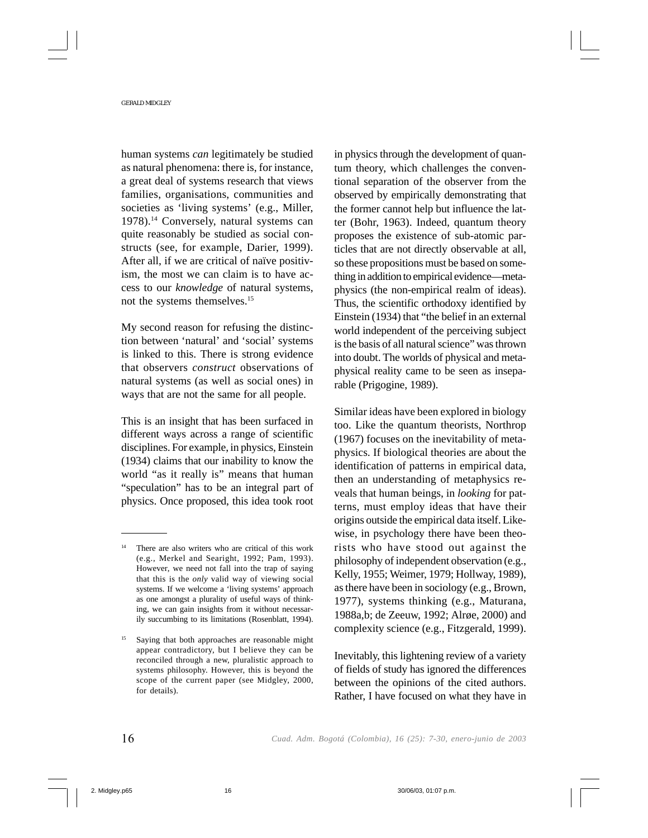human systems *can* legitimately be studied as natural phenomena: there is, for instance, a great deal of systems research that views families, organisations, communities and societies as 'living systems' (e.g., Miller, 1978).14 Conversely, natural systems can quite reasonably be studied as social constructs (see, for example, Darier, 1999). After all, if we are critical of naïve positivism, the most we can claim is to have access to our *knowledge* of natural systems, not the systems themselves.15

My second reason for refusing the distinction between 'natural' and 'social' systems is linked to this. There is strong evidence that observers *construct* observations of natural systems (as well as social ones) in ways that are not the same for all people.

This is an insight that has been surfaced in different ways across a range of scientific disciplines. For example, in physics, Einstein (1934) claims that our inability to know the world "as it really is" means that human "speculation" has to be an integral part of physics. Once proposed, this idea took root in physics through the development of quantum theory, which challenges the conventional separation of the observer from the observed by empirically demonstrating that the former cannot help but influence the latter (Bohr, 1963). Indeed, quantum theory proposes the existence of sub-atomic particles that are not directly observable at all, so these propositions must be based on something in addition to empirical evidence—metaphysics (the non-empirical realm of ideas). Thus, the scientific orthodoxy identified by Einstein (1934) that "the belief in an external world independent of the perceiving subject is the basis of all natural science" was thrown into doubt. The worlds of physical and metaphysical reality came to be seen as inseparable (Prigogine, 1989).

Similar ideas have been explored in biology too. Like the quantum theorists, Northrop (1967) focuses on the inevitability of metaphysics. If biological theories are about the identification of patterns in empirical data, then an understanding of metaphysics reveals that human beings, in *looking* for patterns, must employ ideas that have their origins outside the empirical data itself. Likewise, in psychology there have been theorists who have stood out against the philosophy of independent observation (e.g., Kelly, 1955; Weimer, 1979; Hollway, 1989), as there have been in sociology (e.g., Brown, 1977), systems thinking (e.g., Maturana, 1988a,b; de Zeeuw, 1992; Alrøe, 2000) and complexity science (e.g., Fitzgerald, 1999).

Inevitably, this lightening review of a variety of fields of study has ignored the differences between the opinions of the cited authors. Rather, I have focused on what they have in

<sup>14</sup> There are also writers who are critical of this work (e.g., Merkel and Searight, 1992; Pam, 1993). However, we need not fall into the trap of saying that this is the *only* valid way of viewing social systems. If we welcome a 'living systems' approach as one amongst a plurality of useful ways of thinking, we can gain insights from it without necessarily succumbing to its limitations (Rosenblatt, 1994).

<sup>&</sup>lt;sup>15</sup> Saying that both approaches are reasonable might appear contradictory, but I believe they can be reconciled through a new, pluralistic approach to systems philosophy. However, this is beyond the scope of the current paper (see Midgley, 2000, for details).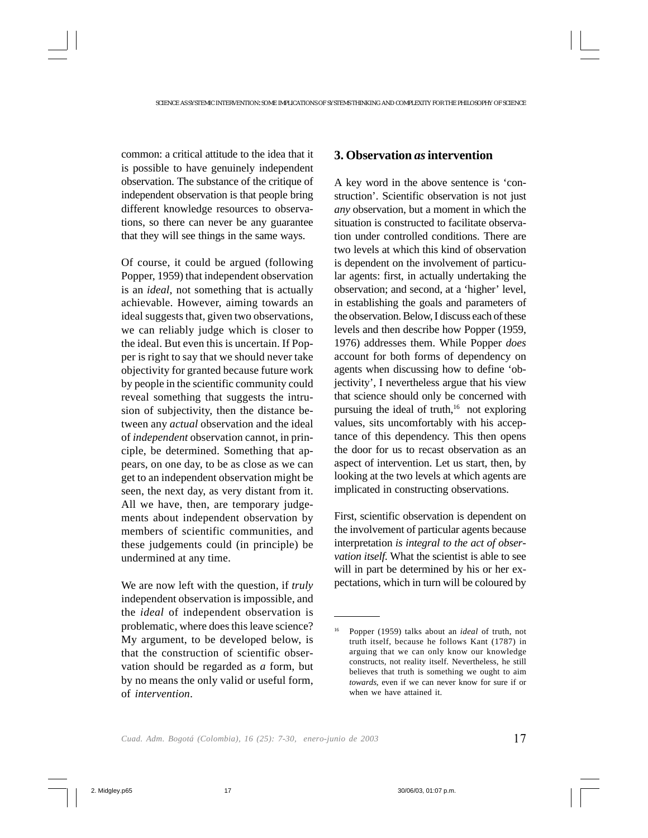common: a critical attitude to the idea that it is possible to have genuinely independent observation. The substance of the critique of independent observation is that people bring different knowledge resources to observations, so there can never be any guarantee that they will see things in the same ways.

Of course, it could be argued (following Popper, 1959) that independent observation is an *ideal*, not something that is actually achievable. However, aiming towards an ideal suggests that, given two observations, we can reliably judge which is closer to the ideal. But even this is uncertain. If Popper is right to say that we should never take objectivity for granted because future work by people in the scientific community could reveal something that suggests the intrusion of subjectivity, then the distance between any *actual* observation and the ideal of *independent* observation cannot, in principle, be determined. Something that appears, on one day, to be as close as we can get to an independent observation might be seen, the next day, as very distant from it. All we have, then, are temporary judgements about independent observation by members of scientific communities, and these judgements could (in principle) be undermined at any time.

We are now left with the question, if *truly* independent observation is impossible, and the *ideal* of independent observation is problematic, where does this leave science? My argument, to be developed below, is that the construction of scientific observation should be regarded as *a* form, but by no means the only valid or useful form, of *intervention*.

### **3. Observation** *as* **intervention**

A key word in the above sentence is 'construction'. Scientific observation is not just *any* observation, but a moment in which the situation is constructed to facilitate observation under controlled conditions. There are two levels at which this kind of observation is dependent on the involvement of particular agents: first, in actually undertaking the observation; and second, at a 'higher' level, in establishing the goals and parameters of the observation. Below, I discuss each of these levels and then describe how Popper (1959, 1976) addresses them. While Popper *does* account for both forms of dependency on agents when discussing how to define 'objectivity', I nevertheless argue that his view that science should only be concerned with pursuing the ideal of truth, $16$  not exploring values, sits uncomfortably with his acceptance of this dependency. This then opens the door for us to recast observation as an aspect of intervention. Let us start, then, by looking at the two levels at which agents are implicated in constructing observations.

First, scientific observation is dependent on the involvement of particular agents because interpretation *is integral to the act of observation itself*. What the scientist is able to see will in part be determined by his or her expectations, which in turn will be coloured by

<sup>16</sup> Popper (1959) talks about an *ideal* of truth, not truth itself, because he follows Kant (1787) in arguing that we can only know our knowledge constructs, not reality itself. Nevertheless, he still believes that truth is something we ought to aim *towards*, even if we can never know for sure if or when we have attained it.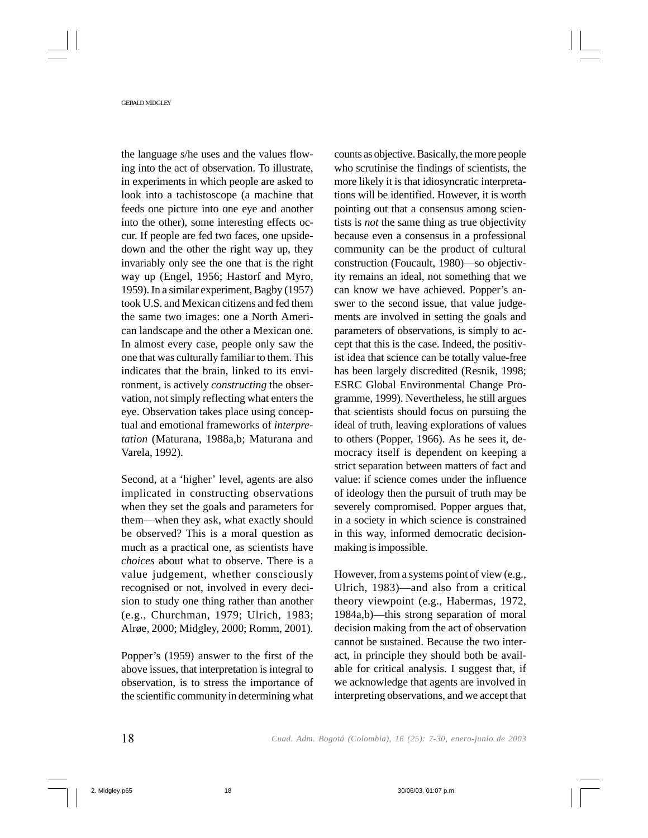the language s/he uses and the values flowing into the act of observation. To illustrate, in experiments in which people are asked to look into a tachistoscope (a machine that feeds one picture into one eye and another into the other), some interesting effects occur. If people are fed two faces, one upsidedown and the other the right way up, they invariably only see the one that is the right way up (Engel, 1956; Hastorf and Myro, 1959). In a similar experiment, Bagby (1957) took U.S. and Mexican citizens and fed them the same two images: one a North American landscape and the other a Mexican one. In almost every case, people only saw the one that was culturally familiar to them. This indicates that the brain, linked to its environment, is actively *constructing* the observation, not simply reflecting what enters the eye. Observation takes place using conceptual and emotional frameworks of *interpretation* (Maturana, 1988a,b; Maturana and Varela, 1992).

Second, at a 'higher' level, agents are also implicated in constructing observations when they set the goals and parameters for them—when they ask, what exactly should be observed? This is a moral question as much as a practical one, as scientists have *choices* about what to observe. There is a value judgement, whether consciously recognised or not, involved in every decision to study one thing rather than another (e.g., Churchman, 1979; Ulrich, 1983; Alrøe, 2000; Midgley, 2000; Romm, 2001).

Popper's (1959) answer to the first of the above issues, that interpretation is integral to observation, is to stress the importance of the scientific community in determining what counts as objective. Basically, the more people who scrutinise the findings of scientists, the more likely it is that idiosyncratic interpretations will be identified. However, it is worth pointing out that a consensus among scientists is *not* the same thing as true objectivity because even a consensus in a professional community can be the product of cultural construction (Foucault, 1980)—so objectivity remains an ideal, not something that we can know we have achieved. Popper's answer to the second issue, that value judgements are involved in setting the goals and parameters of observations, is simply to accept that this is the case. Indeed, the positivist idea that science can be totally value-free has been largely discredited (Resnik, 1998; ESRC Global Environmental Change Programme, 1999). Nevertheless, he still argues that scientists should focus on pursuing the ideal of truth, leaving explorations of values to others (Popper, 1966). As he sees it, democracy itself is dependent on keeping a strict separation between matters of fact and value: if science comes under the influence of ideology then the pursuit of truth may be severely compromised. Popper argues that, in a society in which science is constrained in this way, informed democratic decisionmaking is impossible.

However, from a systems point of view (e.g., Ulrich, 1983)—and also from a critical theory viewpoint (e.g., Habermas, 1972, 1984a,b)—this strong separation of moral decision making from the act of observation cannot be sustained. Because the two interact, in principle they should both be available for critical analysis. I suggest that, if we acknowledge that agents are involved in interpreting observations, and we accept that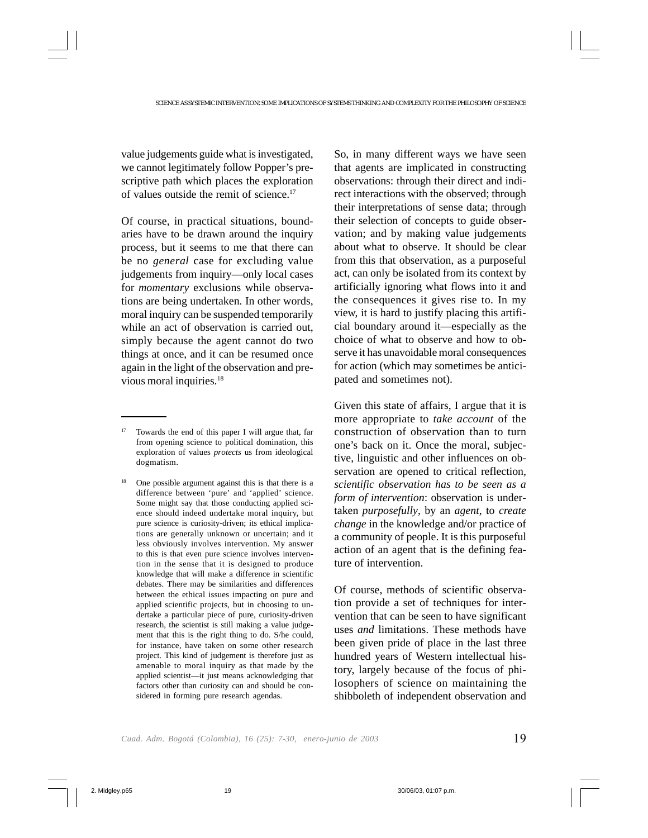value judgements guide what is investigated, we cannot legitimately follow Popper's prescriptive path which places the exploration of values outside the remit of science.17

Of course, in practical situations, boundaries have to be drawn around the inquiry process, but it seems to me that there can be no *general* case for excluding value judgements from inquiry—only local cases for *momentary* exclusions while observations are being undertaken. In other words, moral inquiry can be suspended temporarily while an act of observation is carried out, simply because the agent cannot do two things at once, and it can be resumed once again in the light of the observation and previous moral inquiries.18

So, in many different ways we have seen that agents are implicated in constructing observations: through their direct and indirect interactions with the observed; through their interpretations of sense data; through their selection of concepts to guide observation; and by making value judgements about what to observe. It should be clear from this that observation, as a purposeful act, can only be isolated from its context by artificially ignoring what flows into it and the consequences it gives rise to. In my view, it is hard to justify placing this artificial boundary around it—especially as the choice of what to observe and how to observe it has unavoidable moral consequences for action (which may sometimes be anticipated and sometimes not).

Given this state of affairs, I argue that it is more appropriate to *take account* of the construction of observation than to turn one's back on it. Once the moral, subjective, linguistic and other influences on observation are opened to critical reflection, *scientific observation has to be seen as a form of intervention*: observation is undertaken *purposefully*, by an *agent*, to *create change* in the knowledge and/or practice of a community of people. It is this purposeful action of an agent that is the defining feature of intervention.

Of course, methods of scientific observation provide a set of techniques for intervention that can be seen to have significant uses *and* limitations. These methods have been given pride of place in the last three hundred years of Western intellectual history, largely because of the focus of philosophers of science on maintaining the shibboleth of independent observation and

<sup>17</sup> Towards the end of this paper I will argue that, far from opening science to political domination, this exploration of values *protects* us from ideological dogmatism.

<sup>18</sup> One possible argument against this is that there is a difference between 'pure' and 'applied' science. Some might say that those conducting applied science should indeed undertake moral inquiry, but pure science is curiosity-driven; its ethical implications are generally unknown or uncertain; and it less obviously involves intervention. My answer to this is that even pure science involves intervention in the sense that it is designed to produce knowledge that will make a difference in scientific debates. There may be similarities and differences between the ethical issues impacting on pure and applied scientific projects, but in choosing to undertake a particular piece of pure, curiosity-driven research, the scientist is still making a value judgement that this is the right thing to do. S/he could, for instance, have taken on some other research project. This kind of judgement is therefore just as amenable to moral inquiry as that made by the applied scientist—it just means acknowledging that factors other than curiosity can and should be considered in forming pure research agendas.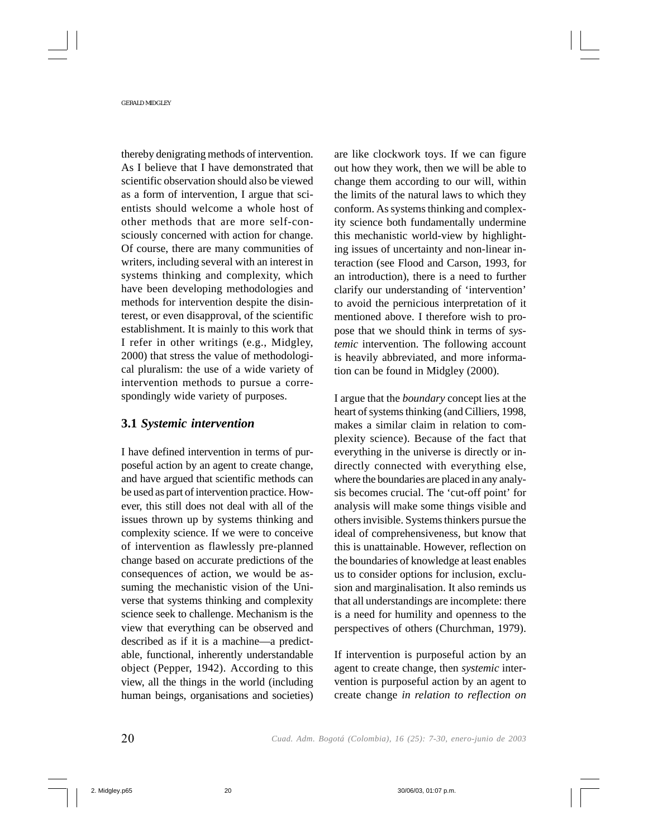thereby denigrating methods of intervention. As I believe that I have demonstrated that scientific observation should also be viewed as a form of intervention, I argue that scientists should welcome a whole host of other methods that are more self-consciously concerned with action for change. Of course, there are many communities of writers, including several with an interest in systems thinking and complexity, which have been developing methodologies and methods for intervention despite the disinterest, or even disapproval, of the scientific establishment. It is mainly to this work that I refer in other writings (e.g., Midgley, 2000) that stress the value of methodological pluralism: the use of a wide variety of intervention methods to pursue a correspondingly wide variety of purposes.

### **3.1** *Systemic intervention*

I have defined intervention in terms of purposeful action by an agent to create change, and have argued that scientific methods can be used as part of intervention practice. However, this still does not deal with all of the issues thrown up by systems thinking and complexity science. If we were to conceive of intervention as flawlessly pre-planned change based on accurate predictions of the consequences of action, we would be assuming the mechanistic vision of the Universe that systems thinking and complexity science seek to challenge. Mechanism is the view that everything can be observed and described as if it is a machine—a predictable, functional, inherently understandable object (Pepper, 1942). According to this view, all the things in the world (including human beings, organisations and societies) are like clockwork toys. If we can figure out how they work, then we will be able to change them according to our will, within the limits of the natural laws to which they conform. As systems thinking and complexity science both fundamentally undermine this mechanistic world-view by highlighting issues of uncertainty and non-linear interaction (see Flood and Carson, 1993, for an introduction), there is a need to further clarify our understanding of 'intervention' to avoid the pernicious interpretation of it mentioned above. I therefore wish to propose that we should think in terms of *systemic* intervention. The following account is heavily abbreviated, and more information can be found in Midgley (2000).

I argue that the *boundary* concept lies at the heart of systems thinking (and Cilliers, 1998, makes a similar claim in relation to complexity science). Because of the fact that everything in the universe is directly or indirectly connected with everything else, where the boundaries are placed in any analysis becomes crucial. The 'cut-off point' for analysis will make some things visible and others invisible. Systems thinkers pursue the ideal of comprehensiveness, but know that this is unattainable. However, reflection on the boundaries of knowledge at least enables us to consider options for inclusion, exclusion and marginalisation. It also reminds us that all understandings are incomplete: there is a need for humility and openness to the perspectives of others (Churchman, 1979).

If intervention is purposeful action by an agent to create change, then *systemic* intervention is purposeful action by an agent to create change *in relation to reflection on*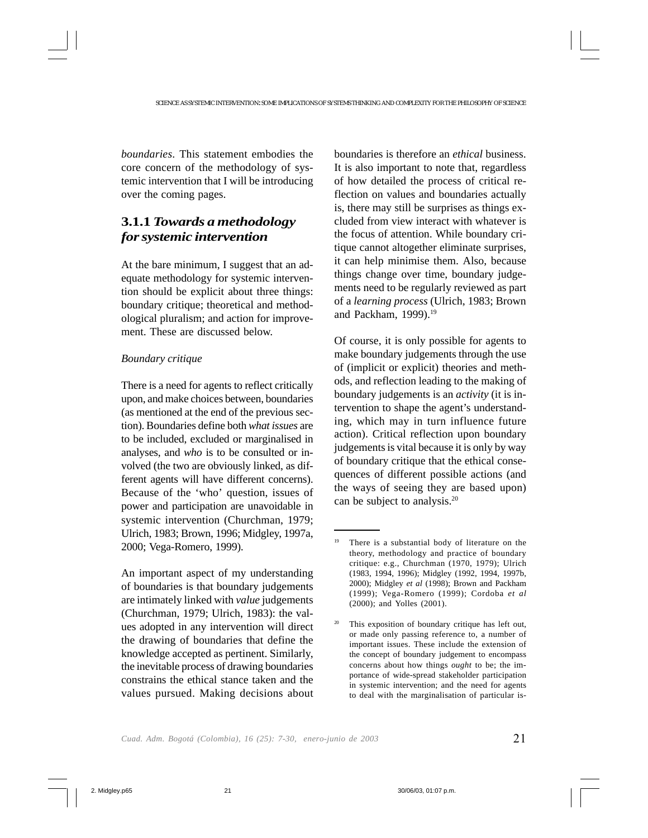*boundaries*. This statement embodies the core concern of the methodology of systemic intervention that I will be introducing over the coming pages.

# **3.1.1** *Towards a methodology for systemic intervention*

At the bare minimum, I suggest that an adequate methodology for systemic intervention should be explicit about three things: boundary critique; theoretical and methodological pluralism; and action for improvement. These are discussed below.

### *Boundary critique*

There is a need for agents to reflect critically upon, and make choices between, boundaries (as mentioned at the end of the previous section). Boundaries define both *what issues* are to be included, excluded or marginalised in analyses, and *who* is to be consulted or involved (the two are obviously linked, as different agents will have different concerns). Because of the 'who' question, issues of power and participation are unavoidable in systemic intervention (Churchman, 1979; Ulrich, 1983; Brown, 1996; Midgley, 1997a, 2000; Vega-Romero, 1999).

An important aspect of my understanding of boundaries is that boundary judgements are intimately linked with *value* judgements (Churchman, 1979; Ulrich, 1983): the values adopted in any intervention will direct the drawing of boundaries that define the knowledge accepted as pertinent. Similarly, the inevitable process of drawing boundaries constrains the ethical stance taken and the values pursued. Making decisions about boundaries is therefore an *ethical* business. It is also important to note that, regardless of how detailed the process of critical reflection on values and boundaries actually is, there may still be surprises as things excluded from view interact with whatever is the focus of attention. While boundary critique cannot altogether eliminate surprises, it can help minimise them. Also, because things change over time, boundary judgements need to be regularly reviewed as part of a *learning process* (Ulrich, 1983; Brown and Packham, 1999).<sup>19</sup>

Of course, it is only possible for agents to make boundary judgements through the use of (implicit or explicit) theories and methods, and reflection leading to the making of boundary judgements is an *activity* (it is intervention to shape the agent's understanding, which may in turn influence future action). Critical reflection upon boundary judgements is vital because it is only by way of boundary critique that the ethical consequences of different possible actions (and the ways of seeing they are based upon) can be subject to analysis.<sup>20</sup>

<sup>&</sup>lt;sup>19</sup> There is a substantial body of literature on the theory, methodology and practice of boundary critique: e.g., Churchman (1970, 1979); Ulrich (1983, 1994, 1996); Midgley (1992, 1994, 1997b, 2000); Midgley *et al* (1998); Brown and Packham (1999); Vega-Romero (1999); Cordoba *et al* (2000); and Yolles (2001).

This exposition of boundary critique has left out, or made only passing reference to, a number of important issues. These include the extension of the concept of boundary judgement to encompass concerns about how things *ought* to be; the importance of wide-spread stakeholder participation in systemic intervention; and the need for agents to deal with the marginalisation of particular is-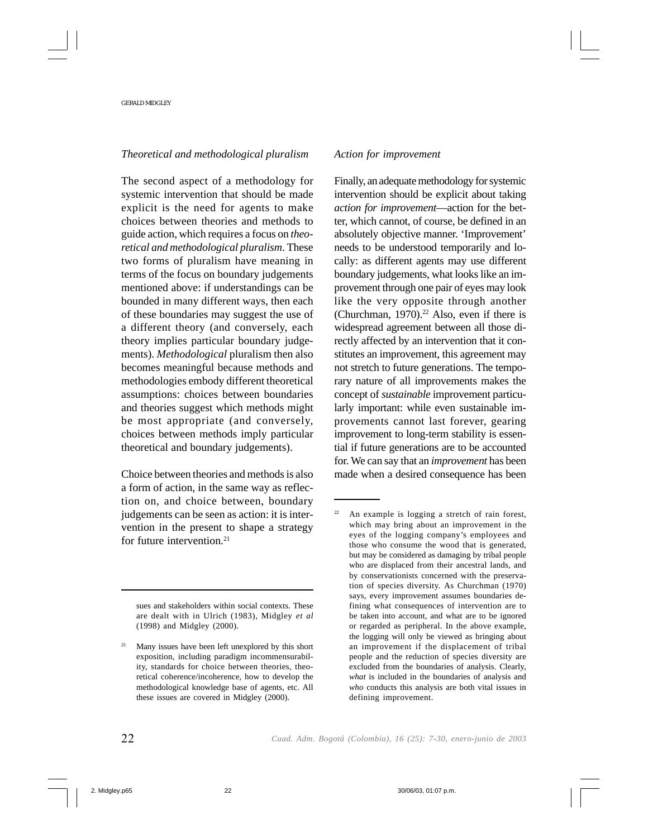### *Theoretical and methodological pluralism*

The second aspect of a methodology for systemic intervention that should be made explicit is the need for agents to make choices between theories and methods to guide action, which requires a focus on *theoretical and methodological pluralism*. These two forms of pluralism have meaning in terms of the focus on boundary judgements mentioned above: if understandings can be bounded in many different ways, then each of these boundaries may suggest the use of a different theory (and conversely, each theory implies particular boundary judgements). *Methodological* pluralism then also becomes meaningful because methods and methodologies embody different theoretical assumptions: choices between boundaries and theories suggest which methods might be most appropriate (and conversely, choices between methods imply particular theoretical and boundary judgements).

Choice between theories and methods is also a form of action, in the same way as reflection on, and choice between, boundary judgements can be seen as action: it is intervention in the present to shape a strategy for future intervention.<sup>21</sup>

sues and stakeholders within social contexts. These are dealt with in Ulrich (1983), Midgley *et al* (1998) and Midgley (2000).

### *Action for improvement*

Finally, an adequate methodology for systemic intervention should be explicit about taking *action for improvement*—action for the better, which cannot, of course, be defined in an absolutely objective manner. 'Improvement' needs to be understood temporarily and locally: as different agents may use different boundary judgements, what looks like an improvement through one pair of eyes may look like the very opposite through another (Churchman, 1970).<sup>22</sup> Also, even if there is widespread agreement between all those directly affected by an intervention that it constitutes an improvement, this agreement may not stretch to future generations. The temporary nature of all improvements makes the concept of *sustainable* improvement particularly important: while even sustainable improvements cannot last forever, gearing improvement to long-term stability is essential if future generations are to be accounted for. We can say that an *improvement* has been made when a desired consequence has been

Many issues have been left unexplored by this short exposition, including paradigm incommensurability, standards for choice between theories, theoretical coherence/incoherence, how to develop the methodological knowledge base of agents, etc. All these issues are covered in Midgley (2000).

<sup>22</sup> An example is logging a stretch of rain forest, which may bring about an improvement in the eyes of the logging company's employees and those who consume the wood that is generated, but may be considered as damaging by tribal people who are displaced from their ancestral lands, and by conservationists concerned with the preservation of species diversity. As Churchman (1970) says, every improvement assumes boundaries defining what consequences of intervention are to be taken into account, and what are to be ignored or regarded as peripheral. In the above example, the logging will only be viewed as bringing about an improvement if the displacement of tribal people and the reduction of species diversity are excluded from the boundaries of analysis. Clearly, *what* is included in the boundaries of analysis and *who* conducts this analysis are both vital issues in defining improvement.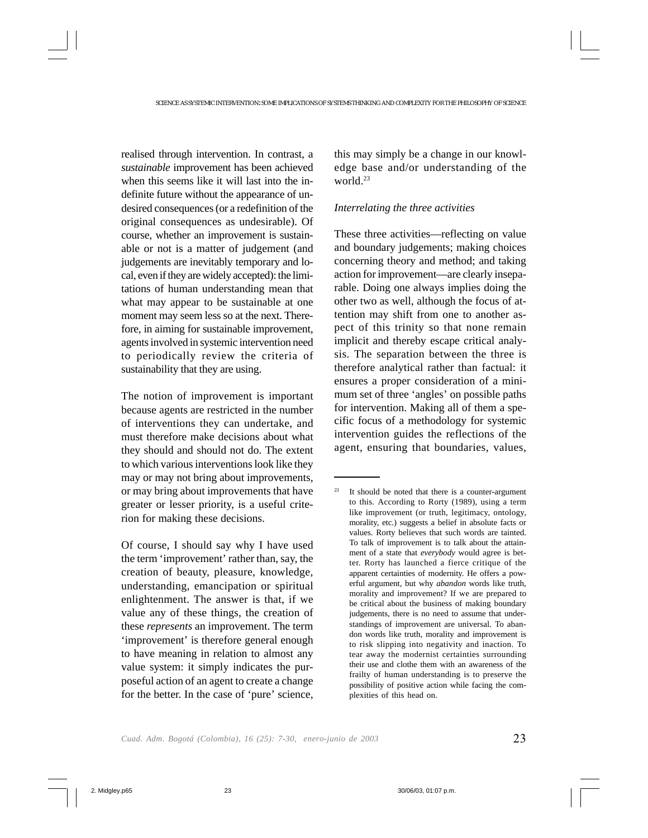realised through intervention. In contrast, a *sustainable* improvement has been achieved when this seems like it will last into the indefinite future without the appearance of undesired consequences (or a redefinition of the original consequences as undesirable). Of course, whether an improvement is sustainable or not is a matter of judgement (and judgements are inevitably temporary and local, even if they are widely accepted): the limitations of human understanding mean that what may appear to be sustainable at one moment may seem less so at the next. Therefore, in aiming for sustainable improvement, agents involved in systemic intervention need to periodically review the criteria of sustainability that they are using.

The notion of improvement is important because agents are restricted in the number of interventions they can undertake, and must therefore make decisions about what they should and should not do. The extent to which various interventions look like they may or may not bring about improvements, or may bring about improvements that have greater or lesser priority, is a useful criterion for making these decisions.

Of course, I should say why I have used the term 'improvement' rather than, say, the creation of beauty, pleasure, knowledge, understanding, emancipation or spiritual enlightenment. The answer is that, if we value any of these things, the creation of these *represents* an improvement. The term 'improvement' is therefore general enough to have meaning in relation to almost any value system: it simply indicates the purposeful action of an agent to create a change for the better. In the case of 'pure' science, this may simply be a change in our knowledge base and/or understanding of the world.<sup>23</sup>

### *Interrelating the three activities*

These three activities—reflecting on value and boundary judgements; making choices concerning theory and method; and taking action for improvement—are clearly inseparable. Doing one always implies doing the other two as well, although the focus of attention may shift from one to another aspect of this trinity so that none remain implicit and thereby escape critical analysis. The separation between the three is therefore analytical rather than factual: it ensures a proper consideration of a minimum set of three 'angles' on possible paths for intervention. Making all of them a specific focus of a methodology for systemic intervention guides the reflections of the agent, ensuring that boundaries, values,

 $23$  It should be noted that there is a counter-argument to this. According to Rorty (1989), using a term like improvement (or truth, legitimacy, ontology, morality, etc.) suggests a belief in absolute facts or values. Rorty believes that such words are tainted. To talk of improvement is to talk about the attainment of a state that *everybody* would agree is better. Rorty has launched a fierce critique of the apparent certainties of modernity. He offers a powerful argument, but why *abandon* words like truth, morality and improvement? If we are prepared to be critical about the business of making boundary judgements, there is no need to assume that understandings of improvement are universal. To abandon words like truth, morality and improvement is to risk slipping into negativity and inaction. To tear away the modernist certainties surrounding their use and clothe them with an awareness of the frailty of human understanding is to preserve the possibility of positive action while facing the complexities of this head on.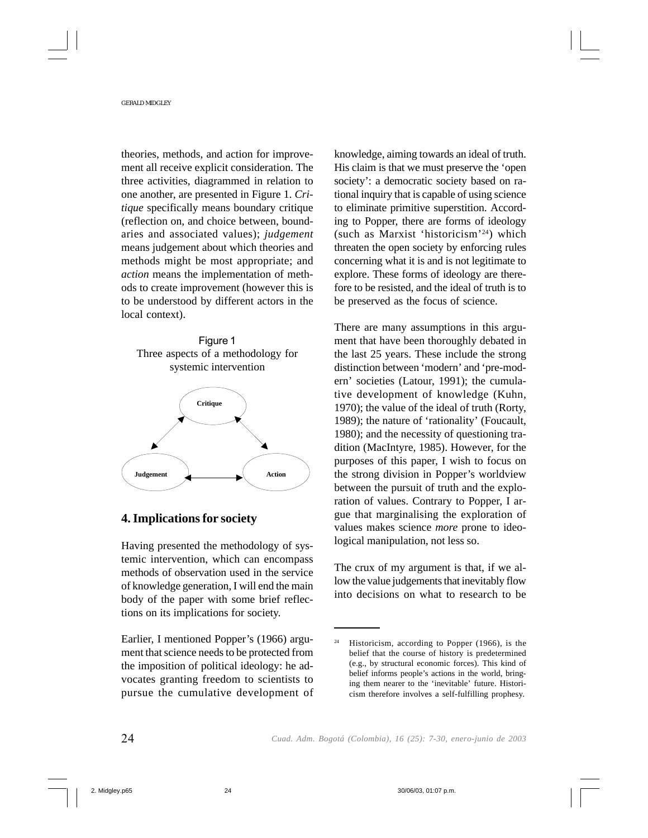theories, methods, and action for improvement all receive explicit consideration. The three activities, diagrammed in relation to one another, are presented in Figure 1. *Critique* specifically means boundary critique (reflection on, and choice between, boundaries and associated values); *judgement* means judgement about which theories and methods might be most appropriate; and *action* means the implementation of methods to create improvement (however this is to be understood by different actors in the local context).



### **4. Implications for society**

Having presented the methodology of systemic intervention, which can encompass methods of observation used in the service of knowledge generation, I will end the main body of the paper with some brief reflections on its implications for society.

Earlier, I mentioned Popper's (1966) argument that science needs to be protected from the imposition of political ideology: he advocates granting freedom to scientists to pursue the cumulative development of knowledge, aiming towards an ideal of truth. His claim is that we must preserve the 'open society': a democratic society based on rational inquiry that is capable of using science to eliminate primitive superstition. According to Popper, there are forms of ideology (such as Marxist 'historicism'24) which threaten the open society by enforcing rules concerning what it is and is not legitimate to explore. These forms of ideology are therefore to be resisted, and the ideal of truth is to be preserved as the focus of science.

There are many assumptions in this argument that have been thoroughly debated in the last 25 years. These include the strong distinction between 'modern' and 'pre-modern' societies (Latour, 1991); the cumulative development of knowledge (Kuhn, 1970); the value of the ideal of truth (Rorty, 1989); the nature of 'rationality' (Foucault, 1980); and the necessity of questioning tradition (MacIntyre, 1985). However, for the purposes of this paper, I wish to focus on the strong division in Popper's worldview between the pursuit of truth and the exploration of values. Contrary to Popper, I argue that marginalising the exploration of values makes science *more* prone to ideological manipulation, not less so.

The crux of my argument is that, if we allow the value judgements that inevitably flow into decisions on what to research to be

<sup>24</sup> Historicism, according to Popper (1966), is the belief that the course of history is predetermined (e.g., by structural economic forces). This kind of belief informs people's actions in the world, bringing them nearer to the 'inevitable' future. Historicism therefore involves a self-fulfilling prophesy.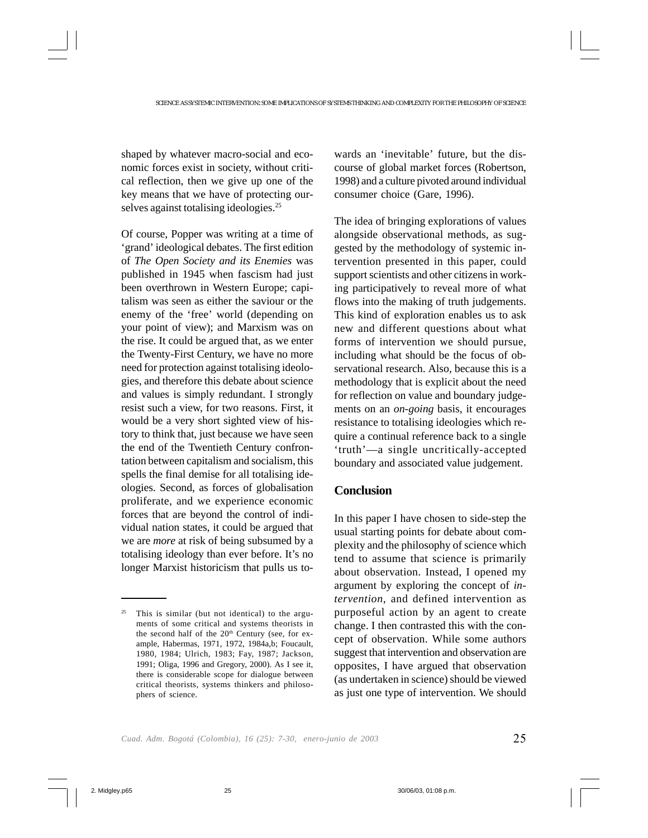shaped by whatever macro-social and economic forces exist in society, without critical reflection, then we give up one of the key means that we have of protecting ourselves against totalising ideologies.<sup>25</sup>

Of course, Popper was writing at a time of 'grand' ideological debates. The first edition of *The Open Society and its Enemies* was published in 1945 when fascism had just been overthrown in Western Europe; capitalism was seen as either the saviour or the enemy of the 'free' world (depending on your point of view); and Marxism was on the rise. It could be argued that, as we enter the Twenty-First Century, we have no more need for protection against totalising ideologies, and therefore this debate about science and values is simply redundant. I strongly resist such a view, for two reasons. First, it would be a very short sighted view of history to think that, just because we have seen the end of the Twentieth Century confrontation between capitalism and socialism, this spells the final demise for all totalising ideologies. Second, as forces of globalisation proliferate, and we experience economic forces that are beyond the control of individual nation states, it could be argued that we are *more* at risk of being subsumed by a totalising ideology than ever before. It's no longer Marxist historicism that pulls us towards an 'inevitable' future, but the discourse of global market forces (Robertson, 1998) and a culture pivoted around individual consumer choice (Gare, 1996).

The idea of bringing explorations of values alongside observational methods, as suggested by the methodology of systemic intervention presented in this paper, could support scientists and other citizens in working participatively to reveal more of what flows into the making of truth judgements. This kind of exploration enables us to ask new and different questions about what forms of intervention we should pursue, including what should be the focus of observational research. Also, because this is a methodology that is explicit about the need for reflection on value and boundary judgements on an *on-going* basis, it encourages resistance to totalising ideologies which require a continual reference back to a single 'truth'—a single uncritically-accepted boundary and associated value judgement.

## **Conclusion**

In this paper I have chosen to side-step the usual starting points for debate about complexity and the philosophy of science which tend to assume that science is primarily about observation. Instead, I opened my argument by exploring the concept of *intervention*, and defined intervention as purposeful action by an agent to create change. I then contrasted this with the concept of observation. While some authors suggest that intervention and observation are opposites, I have argued that observation (as undertaken in science) should be viewed as just one type of intervention. We should

 $25$  This is similar (but not identical) to the arguments of some critical and systems theorists in the second half of the 20<sup>th</sup> Century (see, for example, Habermas, 1971, 1972, 1984a,b; Foucault, 1980, 1984; Ulrich, 1983; Fay, 1987; Jackson, 1991; Oliga, 1996 and Gregory, 2000). As I see it, there is considerable scope for dialogue between critical theorists, systems thinkers and philosophers of science.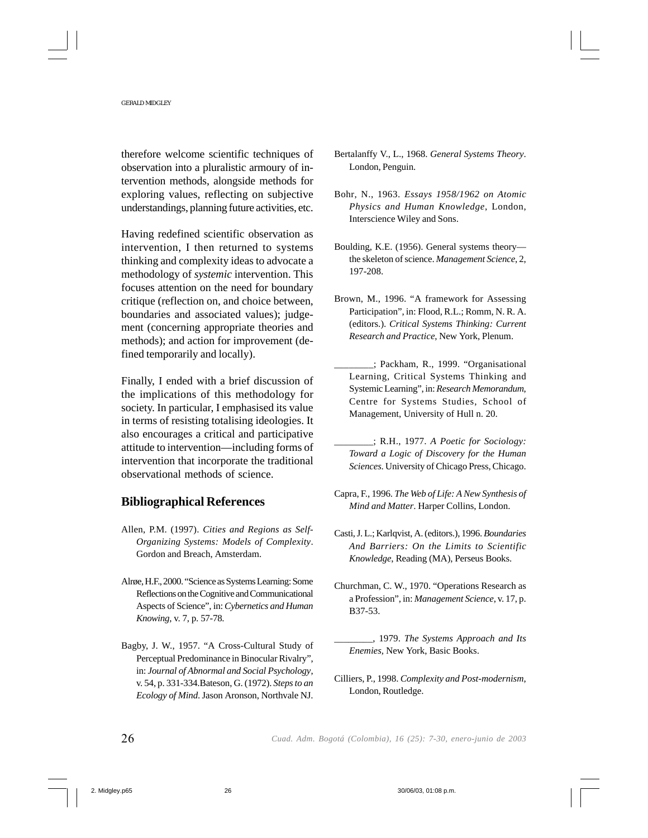therefore welcome scientific techniques of observation into a pluralistic armoury of intervention methods, alongside methods for exploring values, reflecting on subjective understandings, planning future activities, etc.

Having redefined scientific observation as intervention, I then returned to systems thinking and complexity ideas to advocate a methodology of *systemic* intervention. This focuses attention on the need for boundary critique (reflection on, and choice between, boundaries and associated values); judgement (concerning appropriate theories and methods); and action for improvement (defined temporarily and locally).

Finally, I ended with a brief discussion of the implications of this methodology for society. In particular, I emphasised its value in terms of resisting totalising ideologies. It also encourages a critical and participative attitude to intervention—including forms of intervention that incorporate the traditional observational methods of science.

# **Bibliographical References**

- Allen, P.M. (1997). *Cities and Regions as Self-Organizing Systems: Models of Complexity*. Gordon and Breach, Amsterdam.
- Alrøe, H.F., 2000. "Science as Systems Learning: Some Reflections on the Cognitive and Communicational Aspects of Science", in: *Cybernetics and Human Knowing*, v. 7, p. 57-78.
- Bagby, J. W., 1957. "A Cross-Cultural Study of Perceptual Predominance in Binocular Rivalry", in: *Journal of Abnormal and Social Psychology*, v. 54, p. 331-334.Bateson, G. (1972). *Steps to an Ecology of Mind*. Jason Aronson, Northvale NJ.
- Bertalanffy V., L., 1968. *General Systems Theory*. London, Penguin.
- Bohr, N., 1963. *Essays 1958/1962 on Atomic Physics and Human Knowledge*, London, Interscience Wiley and Sons.
- Boulding, K.E. (1956). General systems theory the skeleton of science. *Management Science*, 2, 197-208.
- Brown, M., 1996. "A framework for Assessing Participation", in: Flood, R.L.; Romm, N. R. A. (editors.). *Critical Systems Thinking: Current Research and Practice*, New York, Plenum.
- \_\_\_\_\_\_\_\_; Packham, R., 1999. "Organisational Learning, Critical Systems Thinking and Systemic Learning", in: *Research Memorandum*, Centre for Systems Studies, School of Management, University of Hull n. 20.
- \_\_\_\_\_\_\_\_; R.H., 1977. *A Poetic for Sociology: Toward a Logic of Discovery for the Human Sciences*. University of Chicago Press, Chicago.
- Capra, F., 1996. *The Web of Life: A New Synthesis of Mind and Matter*. Harper Collins, London.
- Casti, J. L.; Karlqvist, A. (editors.), 1996. *Boundaries And Barriers: On the Limits to Scientific Knowledge*, Reading (MA), Perseus Books.
- Churchman, C. W., 1970. "Operations Research as a Profession", in: *Management Science*, v. 17, p. B37-53.
	- \_\_\_\_\_\_\_\_, 1979. *The Systems Approach and Its Enemies,* New York, Basic Books.
- Cilliers, P., 1998. *Complexity and Post-modernism*, London, Routledge.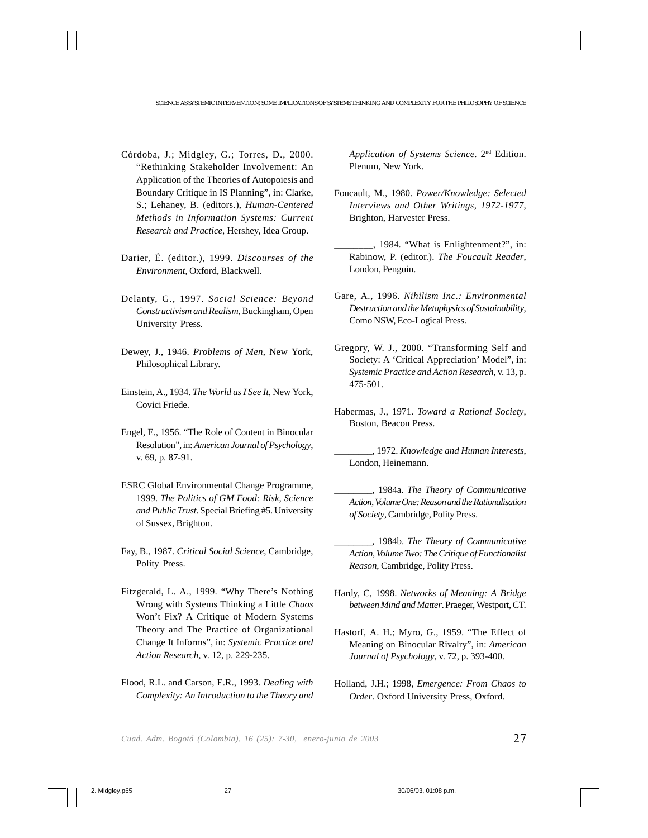- Córdoba, J.; Midgley, G.; Torres, D., 2000. "Rethinking Stakeholder Involvement: An Application of the Theories of Autopoiesis and Boundary Critique in IS Planning", in: Clarke, S.; Lehaney, B. (editors.), *Human-Centered Methods in Information Systems: Current Research and Practice*, Hershey, Idea Group.
- Darier, É. (editor.), 1999. *Discourses of the Environment*, Oxford, Blackwell.
- Delanty, G., 1997. *Social Science: Beyond Constructivism and Realism*, Buckingham, Open University Press.
- Dewey, J., 1946. *Problems of Men*, New York, Philosophical Library.
- Einstein, A., 1934. *The World as I See It*, New York, Covici Friede.
- Engel, E., 1956. "The Role of Content in Binocular Resolution", in: *American Journal of Psychology*, v. 69, p. 87-91.
- ESRC Global Environmental Change Programme, 1999. *The Politics of GM Food: Risk, Science and Public Trust*. Special Briefing #5. University of Sussex, Brighton.
- Fay, B., 1987. *Critical Social Science*, Cambridge, Polity Press.
- Fitzgerald, L. A., 1999. "Why There's Nothing Wrong with Systems Thinking a Little *Chaos* Won't Fix? A Critique of Modern Systems Theory and The Practice of Organizational Change It Informs", in: *Systemic Practice and Action Research*, v. 12, p. 229-235.
- Flood, R.L. and Carson, E.R., 1993. *Dealing with Complexity: An Introduction to the Theory and*

*Application of Systems Science*. 2nd Edition. Plenum, New York.

- Foucault, M., 1980. *Power/Knowledge: Selected Interviews and Other Writings, 1972-1977*, Brighton, Harvester Press.
- \_\_\_\_\_\_\_\_, 1984. "What is Enlightenment?", in: Rabinow, P. (editor.). *The Foucault Reader*, London, Penguin.
- Gare, A., 1996. *Nihilism Inc.: Environmental Destruction and the Metaphysics of Sustainability*, Como NSW, Eco-Logical Press.
- Gregory, W. J., 2000. "Transforming Self and Society: A 'Critical Appreciation' Model", in: *Systemic Practice and Action Research*, v. 13, p. 475-501.
- Habermas, J., 1971. *Toward a Rational Society*, Boston, Beacon Press.

\_\_\_\_\_\_\_\_, 1972. *Knowledge and Human Interests*, London, Heinemann.

- \_\_\_\_\_\_\_\_, 1984a. *The Theory of Communicative Action, Volume One: Reason and the Rationalisation of Society*, Cambridge, Polity Press.
- \_\_\_\_\_\_\_\_, 1984b. *The Theory of Communicative Action, Volume Two: The Critique of Functionalist Reason*, Cambridge, Polity Press.
- Hardy, C, 1998. *Networks of Meaning: A Bridge between Mind and Matter*. Praeger, Westport, CT.
- Hastorf, A. H.; Myro, G., 1959. "The Effect of Meaning on Binocular Rivalry", in: *American Journal of Psychology*, v. 72, p. 393-400.
- Holland, J.H.; 1998, *Emergence: From Chaos to Order*. Oxford University Press, Oxford.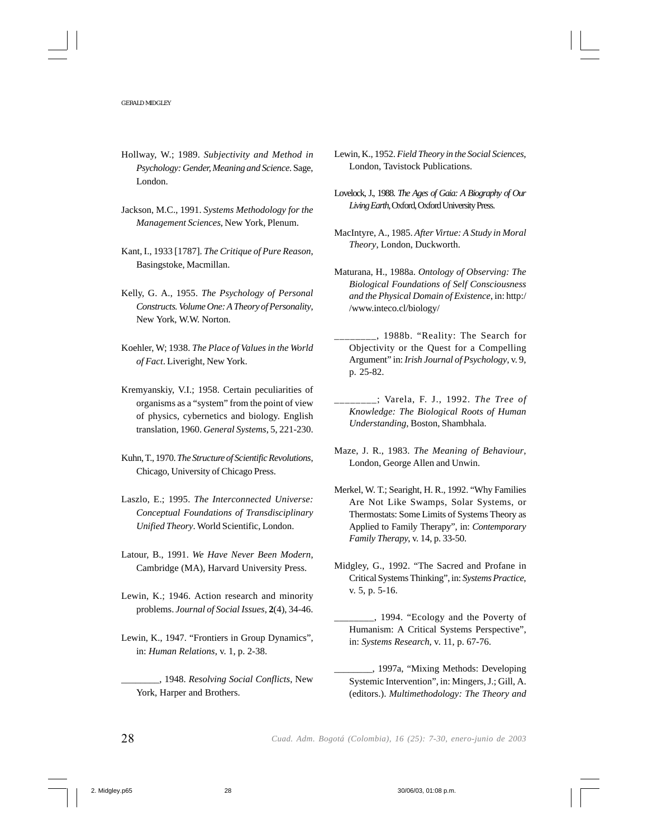- Hollway, W.; 1989. *Subjectivity and Method in Psychology: Gender, Meaning and Science*. Sage, London.
- Jackson, M.C., 1991. *Systems Methodology for the Management Sciences*, New York, Plenum.
- Kant, I., 1933 [1787]. *The Critique of Pure Reason*, Basingstoke, Macmillan.
- Kelly, G. A., 1955. *The Psychology of Personal Constructs. Volume One: A Theory of Personality*, New York, W.W. Norton.
- Koehler, W; 1938. *The Place of Values in the World of Fact*. Liveright, New York.
- Kremyanskiy, V.I.; 1958. Certain peculiarities of organisms as a "system" from the point of view of physics, cybernetics and biology. English translation, 1960. *General Systems*, 5, 221-230.
- Kuhn, T., 1970. *The Structure of Scientific Revolutions*, Chicago, University of Chicago Press.
- Laszlo, E.; 1995. *The Interconnected Universe: Conceptual Foundations of Transdisciplinary Unified Theory*. World Scientific, London.
- Latour, B., 1991. *We Have Never Been Modern*, Cambridge (MA), Harvard University Press.
- Lewin, K.; 1946. Action research and minority problems. *Journal of Social Issues*, **2**(4), 34-46.
- Lewin, K., 1947. "Frontiers in Group Dynamics", in: *Human Relations*, v. 1, p. 2-38.
	- \_\_\_\_\_\_\_\_, 1948. *Resolving Social Conflicts*, New York, Harper and Brothers.
- Lewin, K., 1952. *Field Theory in the Social Sciences*, London, Tavistock Publications.
- Lovelock, J., 1988. *The Ages of Gaia: A Biography of Our Living Earth*, Oxford, Oxford University Press.
- MacIntyre, A., 1985. *After Virtue: A Study in Moral Theory*, London, Duckworth.
- Maturana, H., 1988a. *Ontology of Observing: The Biological Foundations of Self Consciousness and the Physical Domain of Existence*, in: http:/ /www.inteco.cl/biology/
- \_\_\_\_\_\_\_\_, 1988b. "Reality: The Search for Objectivity or the Quest for a Compelling Argument" in: *Irish Journal of Psychology*, v. 9, p. 25-82.
- \_\_\_\_\_\_\_\_; Varela, F. J., 1992. *The Tree of Knowledge: The Biological Roots of Human Understanding*, Boston, Shambhala.
- Maze, J. R., 1983. *The Meaning of Behaviour*, London, George Allen and Unwin.
- Merkel, W. T.; Searight, H. R., 1992. "Why Families Are Not Like Swamps, Solar Systems, or Thermostats: Some Limits of Systems Theory as Applied to Family Therapy", in: *Contemporary Family Therapy*, v. 14, p. 33-50.
- Midgley, G., 1992. "The Sacred and Profane in Critical Systems Thinking", in: *Systems Practice*, v. 5, p. 5-16.
- \_\_\_\_\_\_\_\_, 1994. "Ecology and the Poverty of Humanism: A Critical Systems Perspective", in: *Systems Research*, v. 11, p. 67-76.
- \_\_\_\_\_\_\_\_, 1997a, "Mixing Methods: Developing Systemic Intervention", in: Mingers, J.; Gill, A. (editors.). *Multimethodology: The Theory and*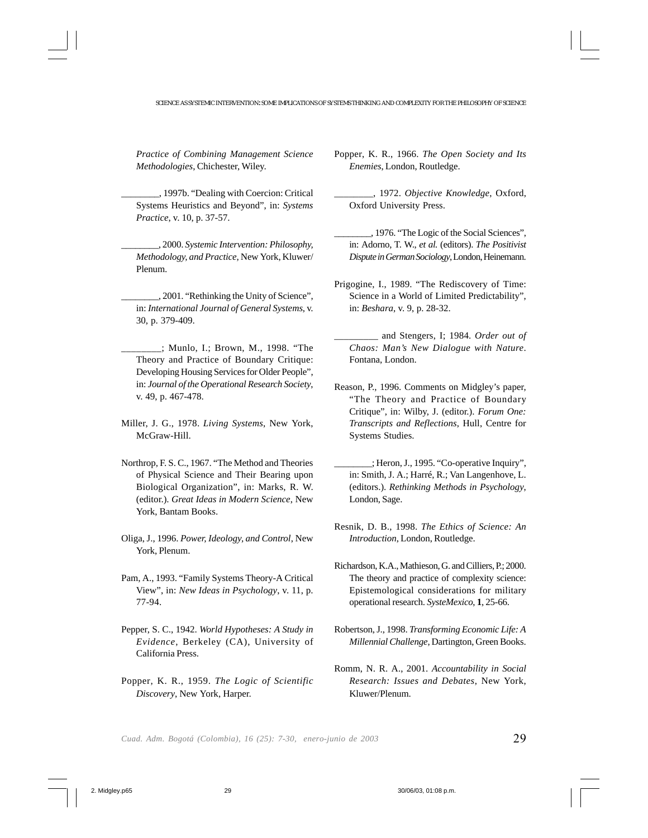*Practice of Combining Management Science Methodologies*, Chichester, Wiley.

\_\_\_\_\_\_\_\_, 1997b. "Dealing with Coercion: Critical Systems Heuristics and Beyond", in: *Systems Practice*, v. 10, p. 37-57.

\_\_\_\_\_\_\_\_, 2000. *Systemic Intervention: Philosophy, Methodology, and Practice*, New York, Kluwer/ Plenum.

\_\_\_\_\_\_\_\_, 2001. "Rethinking the Unity of Science", in: *International Journal of General Systems*, v. 30, p. 379-409.

- \_\_\_\_\_\_\_\_; Munlo, I.; Brown, M., 1998. "The Theory and Practice of Boundary Critique: Developing Housing Services for Older People", in: *Journal of the Operational Research Society*, v. 49, p. 467-478.
- Miller, J. G., 1978. *Living Systems*, New York, McGraw-Hill.
- Northrop, F. S. C., 1967. "The Method and Theories of Physical Science and Their Bearing upon Biological Organization", in: Marks, R. W. (editor.). *Great Ideas in Modern Science*, New York, Bantam Books.
- Oliga, J., 1996. *Power, Ideology, and Control*, New York, Plenum.
- Pam, A., 1993. "Family Systems Theory-A Critical View", in: *New Ideas in Psychology*, v. 11, p. 77-94.
- Pepper, S. C., 1942. *World Hypotheses: A Study in Evidence*, Berkeley (CA), University of California Press.
- Popper, K. R., 1959. *The Logic of Scientific Discovery*, New York, Harper.

Popper, K. R., 1966. *The Open Society and Its Enemies*, London, Routledge.

\_\_\_\_\_\_\_\_, 1972. *Objective Knowledge*, Oxford, Oxford University Press.

- \_\_\_\_\_\_\_\_, 1976. "The Logic of the Social Sciences", in: Adorno, T. W., *et al.* (editors). *The Positivist Dispute in German Sociology*, London, Heinemann.
- Prigogine, I., 1989. "The Rediscovery of Time: Science in a World of Limited Predictability", in: *Beshara*, v. 9, p. 28-32.
- \_\_\_\_\_\_\_\_\_ and Stengers, I; 1984. *Order out of Chaos: Man's New Dialogue with Nature*. Fontana, London.
- Reason, P., 1996. Comments on Midgley's paper, "The Theory and Practice of Boundary Critique", in: Wilby, J. (editor.). *Forum One: Transcripts and Reflections*, Hull, Centre for Systems Studies.
- \_\_\_\_\_\_\_\_; Heron, J., 1995. "Co-operative Inquiry", in: Smith, J. A.; Harré, R.; Van Langenhove, L. (editors.). *Rethinking Methods in Psychology*, London, Sage.
- Resnik, D. B., 1998. *The Ethics of Science: An Introduction*, London, Routledge.
- Richardson, K.A., Mathieson, G. and Cilliers, P.; 2000. The theory and practice of complexity science: Epistemological considerations for military operational research. *SysteMexico*, **1**, 25-66.
- Robertson, J., 1998. *Transforming Economic Life: A Millennial Challenge*, Dartington, Green Books.
- Romm, N. R. A., 2001. *Accountability in Social Research: Issues and Debates*, New York, Kluwer/Plenum.